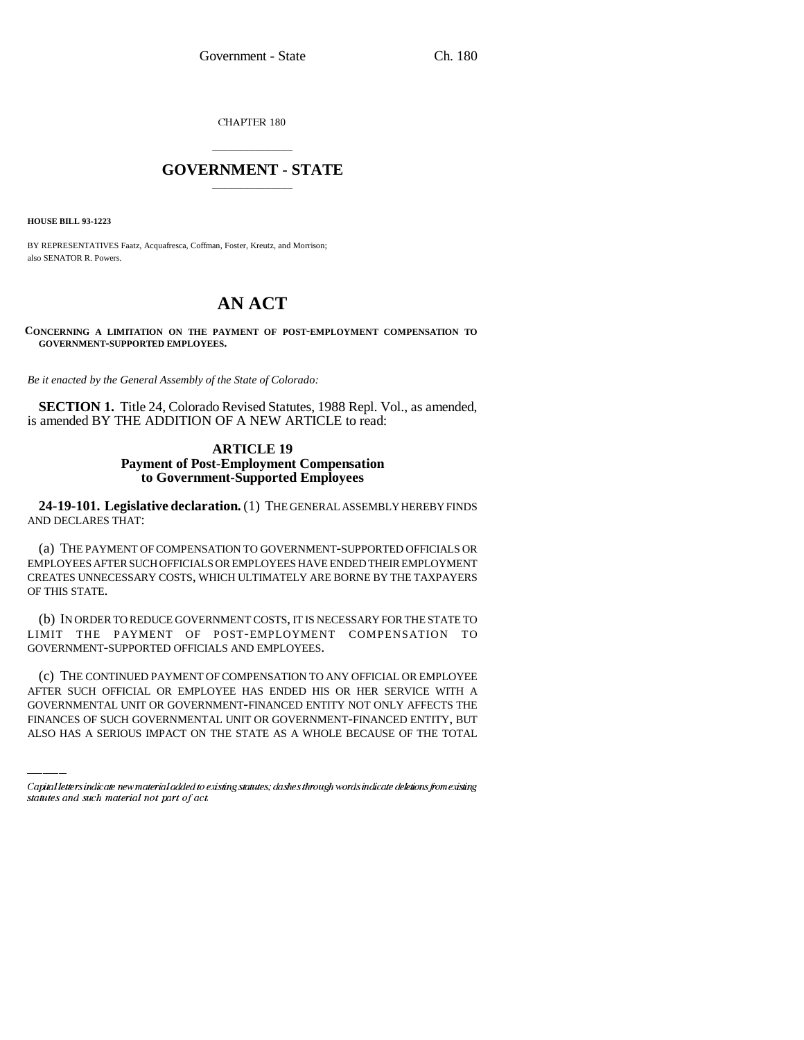CHAPTER 180

## \_\_\_\_\_\_\_\_\_\_\_\_\_\_\_ **GOVERNMENT - STATE** \_\_\_\_\_\_\_\_\_\_\_\_\_\_\_

**HOUSE BILL 93-1223**

BY REPRESENTATIVES Faatz, Acquafresca, Coffman, Foster, Kreutz, and Morrison; also SENATOR R. Powers.

# **AN ACT**

**CONCERNING A LIMITATION ON THE PAYMENT OF POST-EMPLOYMENT COMPENSATION TO GOVERNMENT-SUPPORTED EMPLOYEES.**

*Be it enacted by the General Assembly of the State of Colorado:*

**SECTION 1.** Title 24, Colorado Revised Statutes, 1988 Repl. Vol., as amended, is amended BY THE ADDITION OF A NEW ARTICLE to read:

## **ARTICLE 19 Payment of Post-Employment Compensation to Government-Supported Employees**

**24-19-101. Legislative declaration.** (1) THE GENERAL ASSEMBLY HEREBY FINDS AND DECLARES THAT:

(a) THE PAYMENT OF COMPENSATION TO GOVERNMENT-SUPPORTED OFFICIALS OR EMPLOYEES AFTER SUCH OFFICIALS OR EMPLOYEES HAVE ENDED THEIR EMPLOYMENT CREATES UNNECESSARY COSTS, WHICH ULTIMATELY ARE BORNE BY THE TAXPAYERS OF THIS STATE.

(b) IN ORDER TO REDUCE GOVERNMENT COSTS, IT IS NECESSARY FOR THE STATE TO LIMIT THE PAYMENT OF POST-EMPLOYMENT COMPENSATION TO GOVERNMENT-SUPPORTED OFFICIALS AND EMPLOYEES.

(c) THE CONTINUED PAYMENT OF COMPENSATION TO ANY OFFICIAL OR EMPLOYEE AFTER SUCH OFFICIAL OR EMPLOYEE HAS ENDED HIS OR HER SERVICE WITH A GOVERNMENTAL UNIT OR GOVERNMENT-FINANCED ENTITY NOT ONLY AFFECTS THE FINANCES OF SUCH GOVERNMENTAL UNIT OR GOVERNMENT-FINANCED ENTITY, BUT ALSO HAS A SERIOUS IMPACT ON THE STATE AS A WHOLE BECAUSE OF THE TOTAL

Capital letters indicate new material added to existing statutes; dashes through words indicate deletions from existing statutes and such material not part of act.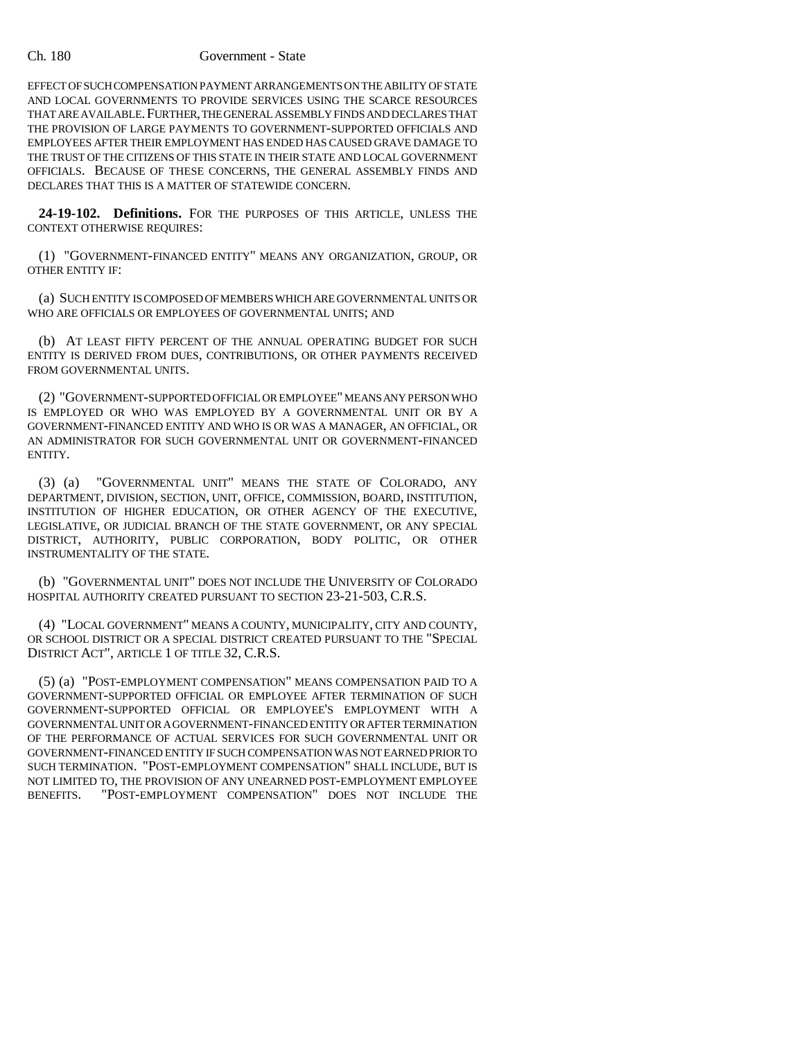#### Ch. 180 Government - State

EFFECT OF SUCH COMPENSATION PAYMENT ARRANGEMENTS ON THE ABILITY OF STATE AND LOCAL GOVERNMENTS TO PROVIDE SERVICES USING THE SCARCE RESOURCES THAT ARE AVAILABLE. FURTHER, THE GENERAL ASSEMBLY FINDS AND DECLARES THAT THE PROVISION OF LARGE PAYMENTS TO GOVERNMENT-SUPPORTED OFFICIALS AND EMPLOYEES AFTER THEIR EMPLOYMENT HAS ENDED HAS CAUSED GRAVE DAMAGE TO THE TRUST OF THE CITIZENS OF THIS STATE IN THEIR STATE AND LOCAL GOVERNMENT OFFICIALS. BECAUSE OF THESE CONCERNS, THE GENERAL ASSEMBLY FINDS AND DECLARES THAT THIS IS A MATTER OF STATEWIDE CONCERN.

**24-19-102. Definitions.** FOR THE PURPOSES OF THIS ARTICLE, UNLESS THE CONTEXT OTHERWISE REQUIRES:

(1) "GOVERNMENT-FINANCED ENTITY" MEANS ANY ORGANIZATION, GROUP, OR OTHER ENTITY IF:

(a) SUCH ENTITY IS COMPOSED OF MEMBERS WHICH ARE GOVERNMENTAL UNITS OR WHO ARE OFFICIALS OR EMPLOYEES OF GOVERNMENTAL UNITS; AND

(b) AT LEAST FIFTY PERCENT OF THE ANNUAL OPERATING BUDGET FOR SUCH ENTITY IS DERIVED FROM DUES, CONTRIBUTIONS, OR OTHER PAYMENTS RECEIVED FROM GOVERNMENTAL UNITS.

(2) "GOVERNMENT-SUPPORTED OFFICIAL OR EMPLOYEE" MEANS ANY PERSON WHO IS EMPLOYED OR WHO WAS EMPLOYED BY A GOVERNMENTAL UNIT OR BY A GOVERNMENT-FINANCED ENTITY AND WHO IS OR WAS A MANAGER, AN OFFICIAL, OR AN ADMINISTRATOR FOR SUCH GOVERNMENTAL UNIT OR GOVERNMENT-FINANCED ENTITY.

(3) (a) "GOVERNMENTAL UNIT" MEANS THE STATE OF COLORADO, ANY DEPARTMENT, DIVISION, SECTION, UNIT, OFFICE, COMMISSION, BOARD, INSTITUTION, INSTITUTION OF HIGHER EDUCATION, OR OTHER AGENCY OF THE EXECUTIVE, LEGISLATIVE, OR JUDICIAL BRANCH OF THE STATE GOVERNMENT, OR ANY SPECIAL DISTRICT, AUTHORITY, PUBLIC CORPORATION, BODY POLITIC, OR OTHER INSTRUMENTALITY OF THE STATE.

(b) "GOVERNMENTAL UNIT" DOES NOT INCLUDE THE UNIVERSITY OF COLORADO HOSPITAL AUTHORITY CREATED PURSUANT TO SECTION 23-21-503, C.R.S.

(4) "LOCAL GOVERNMENT" MEANS A COUNTY, MUNICIPALITY, CITY AND COUNTY, OR SCHOOL DISTRICT OR A SPECIAL DISTRICT CREATED PURSUANT TO THE "SPECIAL DISTRICT ACT", ARTICLE 1 OF TITLE 32, C.R.S.

(5) (a) "POST-EMPLOYMENT COMPENSATION" MEANS COMPENSATION PAID TO A GOVERNMENT-SUPPORTED OFFICIAL OR EMPLOYEE AFTER TERMINATION OF SUCH GOVERNMENT-SUPPORTED OFFICIAL OR EMPLOYEE'S EMPLOYMENT WITH A GOVERNMENTAL UNIT OR A GOVERNMENT-FINANCED ENTITY OR AFTER TERMINATION OF THE PERFORMANCE OF ACTUAL SERVICES FOR SUCH GOVERNMENTAL UNIT OR GOVERNMENT-FINANCED ENTITY IF SUCH COMPENSATION WAS NOT EARNED PRIOR TO SUCH TERMINATION. "POST-EMPLOYMENT COMPENSATION" SHALL INCLUDE, BUT IS NOT LIMITED TO, THE PROVISION OF ANY UNEARNED POST-EMPLOYMENT EMPLOYEE<br>BENEFITS. TPOST-EMPLOYMENT COMPENSATION" DOES NOT INCLUDE THE "POST-EMPLOYMENT COMPENSATION" DOES NOT INCLUDE THE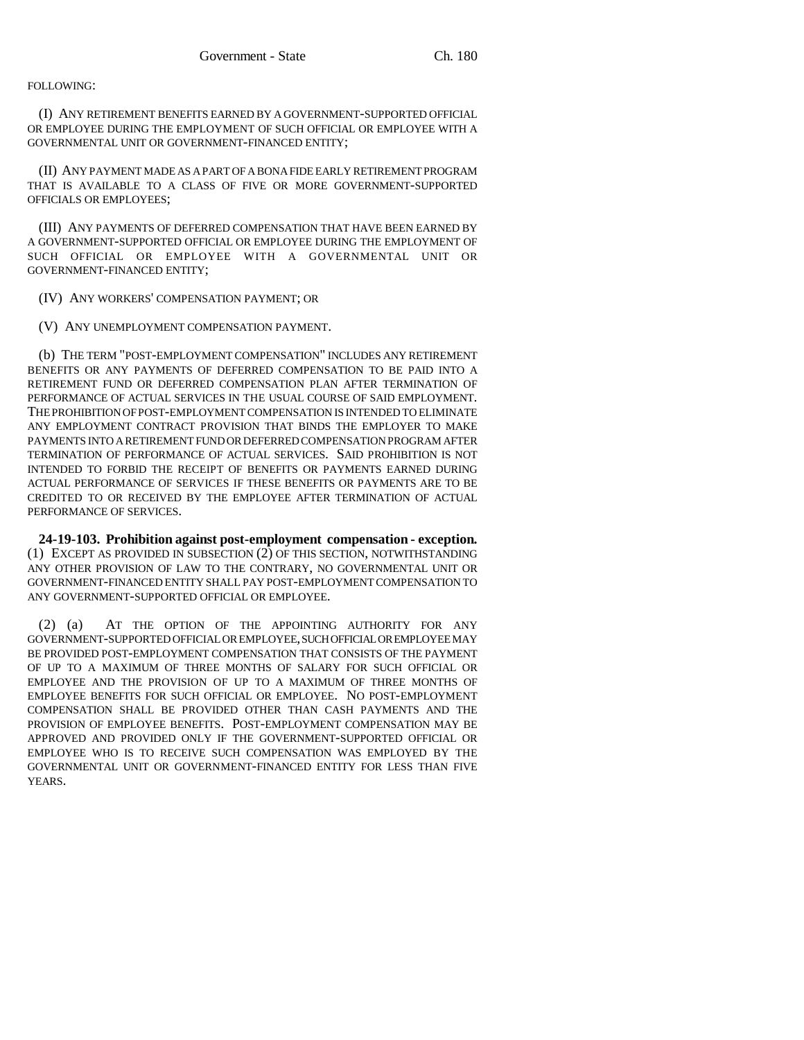## FOLLOWING:

(I) ANY RETIREMENT BENEFITS EARNED BY A GOVERNMENT-SUPPORTED OFFICIAL OR EMPLOYEE DURING THE EMPLOYMENT OF SUCH OFFICIAL OR EMPLOYEE WITH A GOVERNMENTAL UNIT OR GOVERNMENT-FINANCED ENTITY;

(II) ANY PAYMENT MADE AS A PART OF A BONA FIDE EARLY RETIREMENT PROGRAM THAT IS AVAILABLE TO A CLASS OF FIVE OR MORE GOVERNMENT-SUPPORTED OFFICIALS OR EMPLOYEES;

(III) ANY PAYMENTS OF DEFERRED COMPENSATION THAT HAVE BEEN EARNED BY A GOVERNMENT-SUPPORTED OFFICIAL OR EMPLOYEE DURING THE EMPLOYMENT OF SUCH OFFICIAL OR EMPLOYEE WITH A GOVERNMENTAL UNIT OR GOVERNMENT-FINANCED ENTITY;

(IV) ANY WORKERS' COMPENSATION PAYMENT; OR

(V) ANY UNEMPLOYMENT COMPENSATION PAYMENT.

(b) THE TERM "POST-EMPLOYMENT COMPENSATION" INCLUDES ANY RETIREMENT BENEFITS OR ANY PAYMENTS OF DEFERRED COMPENSATION TO BE PAID INTO A RETIREMENT FUND OR DEFERRED COMPENSATION PLAN AFTER TERMINATION OF PERFORMANCE OF ACTUAL SERVICES IN THE USUAL COURSE OF SAID EMPLOYMENT. THE PROHIBITION OF POST-EMPLOYMENT COMPENSATION IS INTENDED TO ELIMINATE ANY EMPLOYMENT CONTRACT PROVISION THAT BINDS THE EMPLOYER TO MAKE PAYMENTS INTO A RETIREMENT FUND OR DEFERRED COMPENSATION PROGRAM AFTER TERMINATION OF PERFORMANCE OF ACTUAL SERVICES. SAID PROHIBITION IS NOT INTENDED TO FORBID THE RECEIPT OF BENEFITS OR PAYMENTS EARNED DURING ACTUAL PERFORMANCE OF SERVICES IF THESE BENEFITS OR PAYMENTS ARE TO BE CREDITED TO OR RECEIVED BY THE EMPLOYEE AFTER TERMINATION OF ACTUAL PERFORMANCE OF SERVICES.

**24-19-103. Prohibition against post-employment compensation - exception.** (1) EXCEPT AS PROVIDED IN SUBSECTION (2) OF THIS SECTION, NOTWITHSTANDING ANY OTHER PROVISION OF LAW TO THE CONTRARY, NO GOVERNMENTAL UNIT OR GOVERNMENT-FINANCED ENTITY SHALL PAY POST-EMPLOYMENT COMPENSATION TO ANY GOVERNMENT-SUPPORTED OFFICIAL OR EMPLOYEE.

(2) (a) AT THE OPTION OF THE APPOINTING AUTHORITY FOR ANY GOVERNMENT-SUPPORTED OFFICIAL OR EMPLOYEE, SUCH OFFICIAL OR EMPLOYEE MAY BE PROVIDED POST-EMPLOYMENT COMPENSATION THAT CONSISTS OF THE PAYMENT OF UP TO A MAXIMUM OF THREE MONTHS OF SALARY FOR SUCH OFFICIAL OR EMPLOYEE AND THE PROVISION OF UP TO A MAXIMUM OF THREE MONTHS OF EMPLOYEE BENEFITS FOR SUCH OFFICIAL OR EMPLOYEE. NO POST-EMPLOYMENT COMPENSATION SHALL BE PROVIDED OTHER THAN CASH PAYMENTS AND THE PROVISION OF EMPLOYEE BENEFITS. POST-EMPLOYMENT COMPENSATION MAY BE APPROVED AND PROVIDED ONLY IF THE GOVERNMENT-SUPPORTED OFFICIAL OR EMPLOYEE WHO IS TO RECEIVE SUCH COMPENSATION WAS EMPLOYED BY THE GOVERNMENTAL UNIT OR GOVERNMENT-FINANCED ENTITY FOR LESS THAN FIVE YEARS.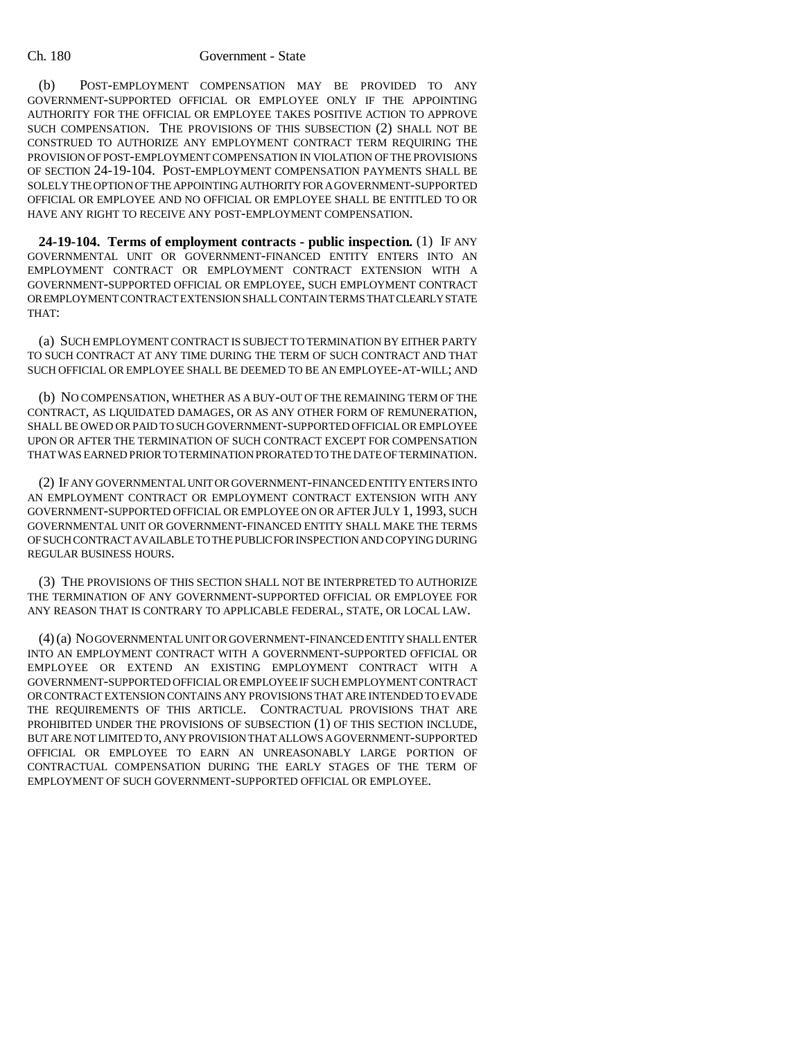#### Ch. 180 Government - State

(b) POST-EMPLOYMENT COMPENSATION MAY BE PROVIDED TO ANY GOVERNMENT-SUPPORTED OFFICIAL OR EMPLOYEE ONLY IF THE APPOINTING AUTHORITY FOR THE OFFICIAL OR EMPLOYEE TAKES POSITIVE ACTION TO APPROVE SUCH COMPENSATION. THE PROVISIONS OF THIS SUBSECTION (2) SHALL NOT BE CONSTRUED TO AUTHORIZE ANY EMPLOYMENT CONTRACT TERM REQUIRING THE PROVISION OF POST-EMPLOYMENT COMPENSATION IN VIOLATION OF THE PROVISIONS OF SECTION 24-19-104. POST-EMPLOYMENT COMPENSATION PAYMENTS SHALL BE SOLELY THE OPTION OF THE APPOINTING AUTHORITY FOR A GOVERNMENT-SUPPORTED OFFICIAL OR EMPLOYEE AND NO OFFICIAL OR EMPLOYEE SHALL BE ENTITLED TO OR HAVE ANY RIGHT TO RECEIVE ANY POST-EMPLOYMENT COMPENSATION.

**24-19-104. Terms of employment contracts - public inspection.** (1) IF ANY GOVERNMENTAL UNIT OR GOVERNMENT-FINANCED ENTITY ENTERS INTO AN EMPLOYMENT CONTRACT OR EMPLOYMENT CONTRACT EXTENSION WITH A GOVERNMENT-SUPPORTED OFFICIAL OR EMPLOYEE, SUCH EMPLOYMENT CONTRACT OR EMPLOYMENT CONTRACT EXTENSION SHALL CONTAIN TERMS THAT CLEARLY STATE THAT:

(a) SUCH EMPLOYMENT CONTRACT IS SUBJECT TO TERMINATION BY EITHER PARTY TO SUCH CONTRACT AT ANY TIME DURING THE TERM OF SUCH CONTRACT AND THAT SUCH OFFICIAL OR EMPLOYEE SHALL BE DEEMED TO BE AN EMPLOYEE-AT-WILL; AND

(b) NO COMPENSATION, WHETHER AS A BUY-OUT OF THE REMAINING TERM OF THE CONTRACT, AS LIQUIDATED DAMAGES, OR AS ANY OTHER FORM OF REMUNERATION, SHALL BE OWED OR PAID TO SUCH GOVERNMENT-SUPPORTED OFFICIAL OR EMPLOYEE UPON OR AFTER THE TERMINATION OF SUCH CONTRACT EXCEPT FOR COMPENSATION THAT WAS EARNED PRIOR TO TERMINATION PRORATED TO THE DATE OF TERMINATION.

(2) IF ANY GOVERNMENTAL UNIT OR GOVERNMENT-FINANCED ENTITY ENTERS INTO AN EMPLOYMENT CONTRACT OR EMPLOYMENT CONTRACT EXTENSION WITH ANY GOVERNMENT-SUPPORTED OFFICIAL OR EMPLOYEE ON OR AFTER JULY 1, 1993, SUCH GOVERNMENTAL UNIT OR GOVERNMENT-FINANCED ENTITY SHALL MAKE THE TERMS OF SUCH CONTRACT AVAILABLE TO THE PUBLIC FOR INSPECTION AND COPYING DURING REGULAR BUSINESS HOURS.

(3) THE PROVISIONS OF THIS SECTION SHALL NOT BE INTERPRETED TO AUTHORIZE THE TERMINATION OF ANY GOVERNMENT-SUPPORTED OFFICIAL OR EMPLOYEE FOR ANY REASON THAT IS CONTRARY TO APPLICABLE FEDERAL, STATE, OR LOCAL LAW.

(4) (a) NO GOVERNMENTAL UNIT OR GOVERNMENT-FINANCED ENTITY SHALL ENTER INTO AN EMPLOYMENT CONTRACT WITH A GOVERNMENT-SUPPORTED OFFICIAL OR EMPLOYEE OR EXTEND AN EXISTING EMPLOYMENT CONTRACT WITH A GOVERNMENT-SUPPORTED OFFICIAL OR EMPLOYEE IF SUCH EMPLOYMENT CONTRACT OR CONTRACT EXTENSION CONTAINS ANY PROVISIONS THAT ARE INTENDED TO EVADE THE REQUIREMENTS OF THIS ARTICLE. CONTRACTUAL PROVISIONS THAT ARE PROHIBITED UNDER THE PROVISIONS OF SUBSECTION (1) OF THIS SECTION INCLUDE, BUT ARE NOT LIMITED TO, ANY PROVISION THAT ALLOWS A GOVERNMENT-SUPPORTED OFFICIAL OR EMPLOYEE TO EARN AN UNREASONABLY LARGE PORTION OF CONTRACTUAL COMPENSATION DURING THE EARLY STAGES OF THE TERM OF EMPLOYMENT OF SUCH GOVERNMENT-SUPPORTED OFFICIAL OR EMPLOYEE.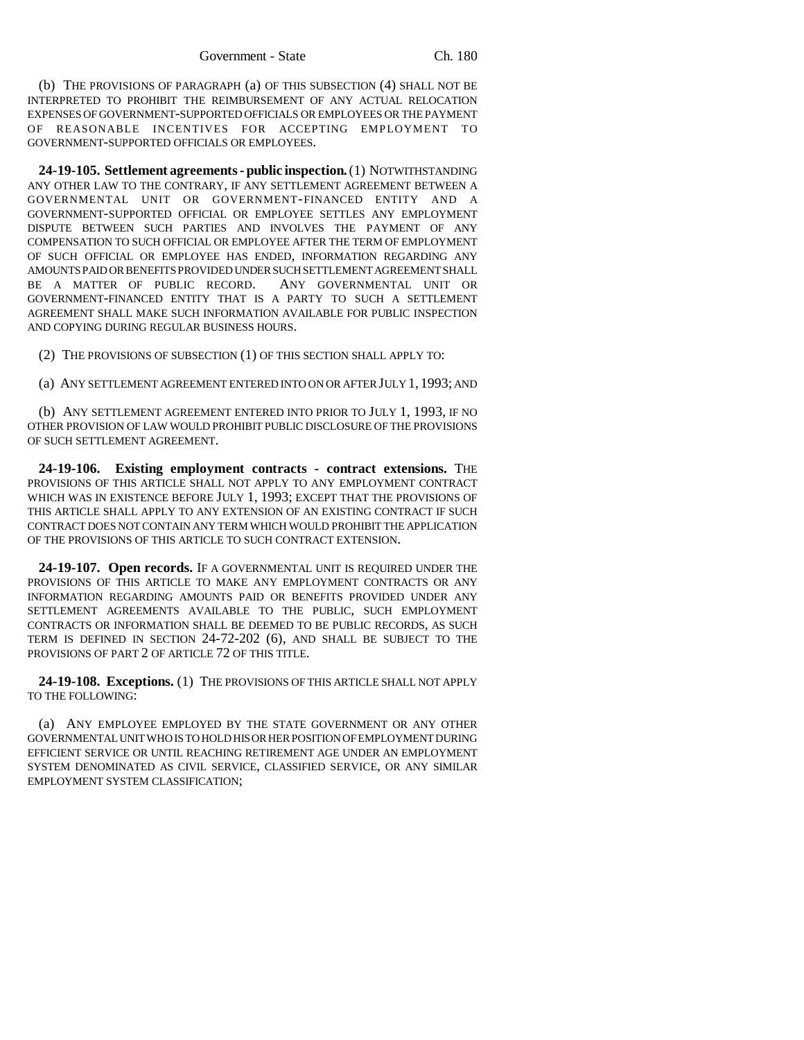(b) THE PROVISIONS OF PARAGRAPH (a) OF THIS SUBSECTION (4) SHALL NOT BE INTERPRETED TO PROHIBIT THE REIMBURSEMENT OF ANY ACTUAL RELOCATION EXPENSES OF GOVERNMENT-SUPPORTED OFFICIALS OR EMPLOYEES OR THE PAYMENT OF REASONABLE INCENTIVES FOR ACCEPTING EMPLOYMENT TO GOVERNMENT-SUPPORTED OFFICIALS OR EMPLOYEES.

**24-19-105. Settlement agreements - public inspection.** (1) NOTWITHSTANDING ANY OTHER LAW TO THE CONTRARY, IF ANY SETTLEMENT AGREEMENT BETWEEN A GOVERNMENTAL UNIT OR GOVERNMENT-FINANCED ENTITY AND A GOVERNMENT-SUPPORTED OFFICIAL OR EMPLOYEE SETTLES ANY EMPLOYMENT DISPUTE BETWEEN SUCH PARTIES AND INVOLVES THE PAYMENT OF ANY COMPENSATION TO SUCH OFFICIAL OR EMPLOYEE AFTER THE TERM OF EMPLOYMENT OF SUCH OFFICIAL OR EMPLOYEE HAS ENDED, INFORMATION REGARDING ANY AMOUNTS PAID OR BENEFITS PROVIDED UNDER SUCH SETTLEMENT AGREEMENT SHALL BE A MATTER OF PUBLIC RECORD. ANY GOVERNMENTAL UNIT OR GOVERNMENT-FINANCED ENTITY THAT IS A PARTY TO SUCH A SETTLEMENT AGREEMENT SHALL MAKE SUCH INFORMATION AVAILABLE FOR PUBLIC INSPECTION AND COPYING DURING REGULAR BUSINESS HOURS.

(2) THE PROVISIONS OF SUBSECTION (1) OF THIS SECTION SHALL APPLY TO:

(a) ANY SETTLEMENT AGREEMENT ENTERED INTO ON OR AFTER JULY 1, 1993; AND

(b) ANY SETTLEMENT AGREEMENT ENTERED INTO PRIOR TO JULY 1, 1993, IF NO OTHER PROVISION OF LAW WOULD PROHIBIT PUBLIC DISCLOSURE OF THE PROVISIONS OF SUCH SETTLEMENT AGREEMENT.

**24-19-106. Existing employment contracts - contract extensions.** THE PROVISIONS OF THIS ARTICLE SHALL NOT APPLY TO ANY EMPLOYMENT CONTRACT WHICH WAS IN EXISTENCE BEFORE JULY 1, 1993; EXCEPT THAT THE PROVISIONS OF THIS ARTICLE SHALL APPLY TO ANY EXTENSION OF AN EXISTING CONTRACT IF SUCH CONTRACT DOES NOT CONTAIN ANY TERM WHICH WOULD PROHIBIT THE APPLICATION OF THE PROVISIONS OF THIS ARTICLE TO SUCH CONTRACT EXTENSION.

**24-19-107. Open records.** IF A GOVERNMENTAL UNIT IS REQUIRED UNDER THE PROVISIONS OF THIS ARTICLE TO MAKE ANY EMPLOYMENT CONTRACTS OR ANY INFORMATION REGARDING AMOUNTS PAID OR BENEFITS PROVIDED UNDER ANY SETTLEMENT AGREEMENTS AVAILABLE TO THE PUBLIC, SUCH EMPLOYMENT CONTRACTS OR INFORMATION SHALL BE DEEMED TO BE PUBLIC RECORDS, AS SUCH TERM IS DEFINED IN SECTION 24-72-202 (6), AND SHALL BE SUBJECT TO THE PROVISIONS OF PART 2 OF ARTICLE 72 OF THIS TITLE.

**24-19-108. Exceptions.** (1) THE PROVISIONS OF THIS ARTICLE SHALL NOT APPLY TO THE FOLLOWING:

(a) ANY EMPLOYEE EMPLOYED BY THE STATE GOVERNMENT OR ANY OTHER GOVERNMENTAL UNIT WHO IS TO HOLD HIS OR HER POSITION OF EMPLOYMENT DURING EFFICIENT SERVICE OR UNTIL REACHING RETIREMENT AGE UNDER AN EMPLOYMENT SYSTEM DENOMINATED AS CIVIL SERVICE, CLASSIFIED SERVICE, OR ANY SIMILAR EMPLOYMENT SYSTEM CLASSIFICATION;